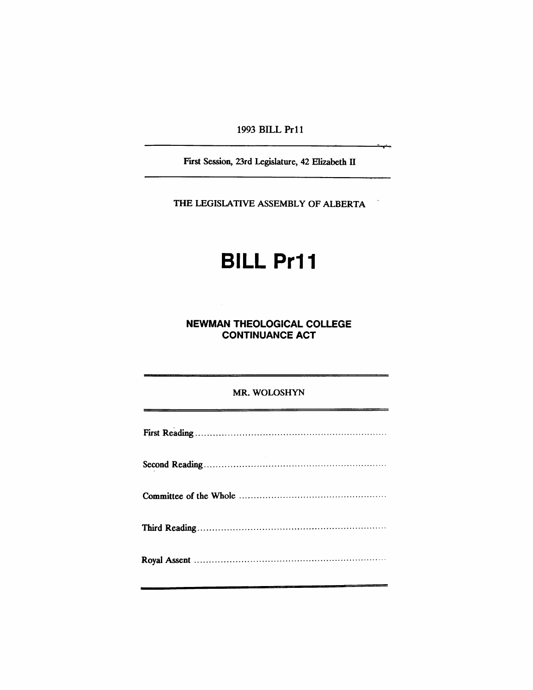1993 BILL Prll

.'

First Session, 23rd Legislature, 42'Elizabeth II

THE LEGISLATIVE ASSEMBLY OF ALBERTA

# **BILL Pr11**

**NEWMAN THEOLOGICAL COLLEGE CONTINUANCE ACT**

### MR. WOLOSHYN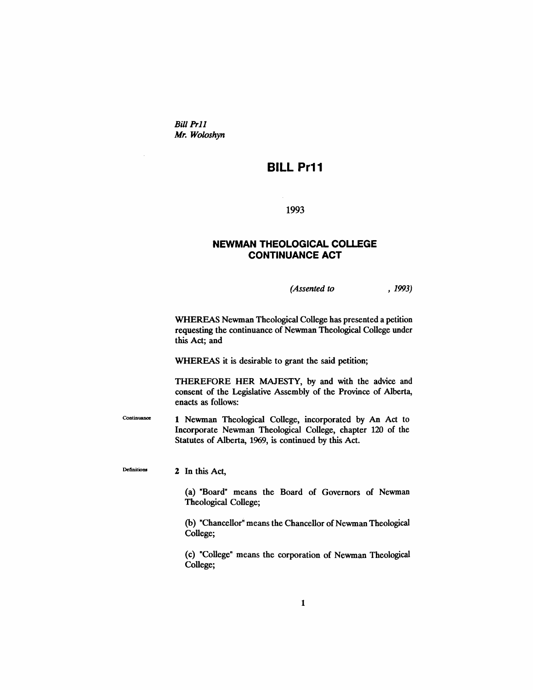*Bill Pr11 Mr. Woloshyn*

# **BILL Pr11**

1993

## **NEWMAN THEOLOGICAL COLLEGE CONTINUANCE ACT**

*(Assented to* , 1993)

WHEREAS Newman Theological College has presented a petition requesting the continuance of Newman Theological College under this Act; and

WHEREAS it is desirable to grant the said petition;

THEREFORE HER MAJESTY, by and with the advice and consent of the Legislative Assembly of the Province of Alberta, enacts as follows:

Continuance 1 Newman Theological College, incorporated by An Act to Incorporate Newman Theological College, chapter 120 of the Statutes of Alberta, 1969, is continued by this Act.

Definitions 2 In this Act,

> (a) "Board" means the Board of Governors of Newman Theological College;

> (b) "Chancellor" means the Chancellor of Newman Theological College;

> (c) "College" means the corporation of Newman Theological College;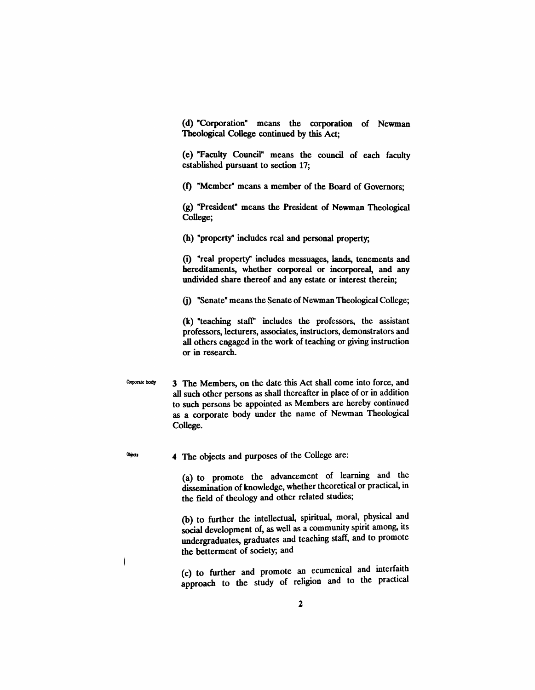(d) "Corporation" means the corporation of Newman Theological College continued by this Act;

(e) "Faculty Council" means the council of each faculty established pursuant to section 17;

(t) "Member" means a member of the Board of Governors;

(g) "President" means the President of Newman Theological College;

(h) "property" includes real and personal property;

(i) "real property" includes messuages, lands, tenements and hereditaments, whether corporeal or incorporeal, and any undivided share thereof and any estate or interest therein;

0) "Senate" means the Senate of Newman Theological College;

(k) "teaching staff' includes the professors, the assistant professors, lecturers, associates, instructors, demonstrators and all others engaged in the work of teaching or giving instruction or in research.

Corporate body 3 The Members, on the date this Act shall come into force, and all such other persons as shall thereafter in place of or in addition to such persons be appointed as Members are hereby continued as a corporate body under the name of Newman Theological College.

4 The objects and purposes of the College are:

**Objects** 

(a) to promote the advancement of learning and the dissemination of knowledge, whether theoretical or practical, in the field of theology and other related studies;

(b) to further the intellectual, spiritual, moral, physical and social development of, as well as a community spirit among, its undergraduates, graduates and teaching staff, and to promote the betterment of society; and

(c) to further and promote an ecumenical and interfaith approach to the study of religion and to the practical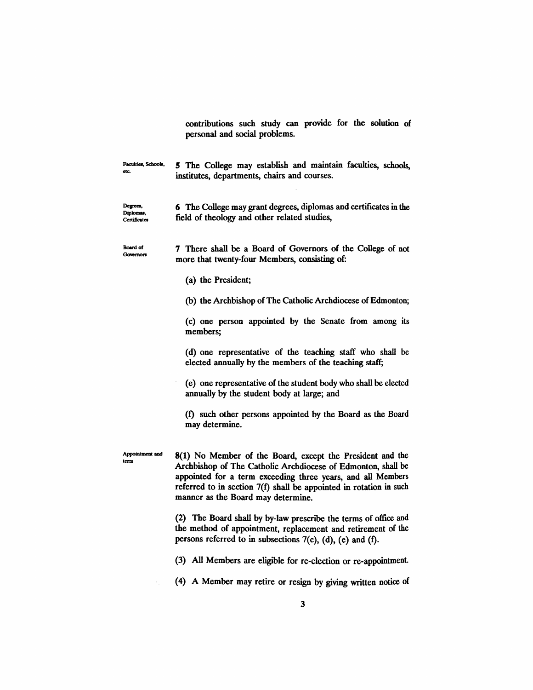contributions such study can provide for the solution of personal and social problems.

Faculties, Scbook, etc. 5 The College may establish and maintain faculties, schools, institutes, departments, chairs and courses.

Degrees, Diplomas, Certificates 6 The College may grant degrees, diplomas and certificates in the field of theology and other related studies,

Board *ot* Governors 7 There shall be a Board of Governors of the College of not more that twenty-four Members, consisting of:

(a) the President;

(b) the Archbishop of The Catholic Archdiocese of Edmonton;

(C) one person appointed by the Senate from among its members;

(d) one representative of the teaching staff who shall be elected annually by the members of the teaching staff;

(e) one representative of the student body who shall be elected annually by the student body at large; and

(f) such other persons appointed by the Board as the Board may determine.

Appointment and lerm

8(1) No Member of the Board, except the President and the Archbishop of The Catholic Archdiocese of Edmonton, shall be appointed for a term exceeding three years, and all Members referred to in section 7(f) shall be appointed in rotation in such manner as the Board may determine.

(2) The Board shall by by-law prescribe the terms of office and the method of appointment, replacement and retirement of the persons referred to in subsections  $7(c)$ , (d), (e) and (f).

(3) All Members are eligible for re-election or re-appointment.

(4) A Member may retire or resign by giving written notice of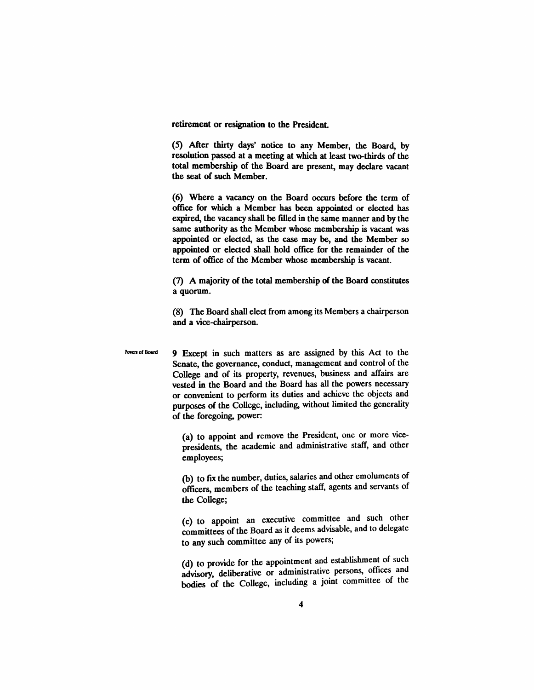retirement or resignation to the President.

(5) After thirty days' notice to any Member, the Board, by resolution passed at a meeting at which at least two-thirds of the total membership of the Board are present, may declare vacant the seat of such Member.

(6) Where a vacancy on the Board occurs before the term of office for which a Member has been appointed or elected has expired, the vacancy shall be filled in the same manner and by the same authority as the Member whose membership is vacant was appointed or elected, as the case may be, and the Member so appointed or elected shall hold office for the remainder of the term of office of the Member whose membership is vacant.

(7) A majority of the total membership of the Board constitutes a quorum.

(8) The Board shall elect from among its Members a chairperson and a vice-chairperson.

Powers of Board 9 Except in such matters as are assigned by this Act to the Senate, the governance, conduct, management and control of the College and of its property, revenues, business and affairs are vested in the Board and the Board has all the powers necessary or convenient to perform its duties and achieve the objects and purposes of the College, including, without limited the generality of the foregoing, power:

> (a) to appoint and remove the President, one or more vicepresidents, the academic and administrative staff, and other employees;

> (b) to fix the number, duties, salaries and other emoluments of officers, members of the teaching staff, agents and servants of the College;

> (c) to appoint an executive committee and such other committees of the Board as it deems advisable, and to delegate to any such committee any of its powers;

> (d) to provide for the appointment and establishment of such advisory, deliberative or administrative persons, offices and bodies of the College, including a joint committee of the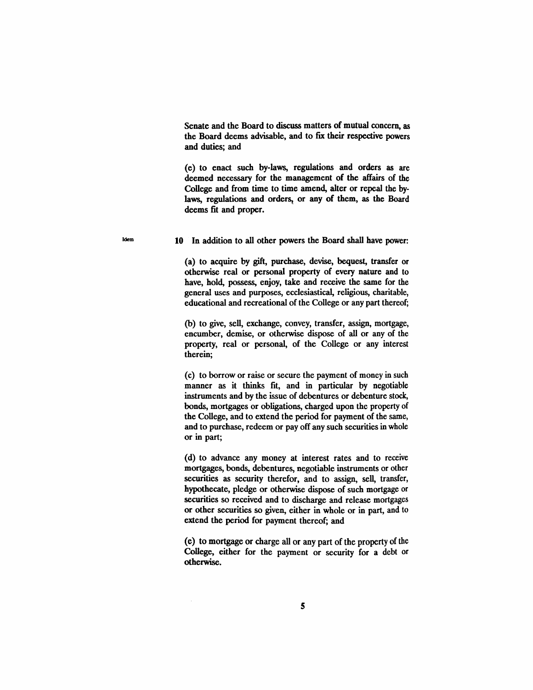Senate and the Board to discuss matters of mutual concern, as the Board deems advisable, and to fix their respective powers and duties; and

(e) to enact such by-laws, regulations and orders as are deemed necessary for the management of the affairs of the College and from time to time amend, alter or repeal the bylaws, regulations and orders, or any of them, as the Board deems fit and proper.

#### 10 In addition to all other powers the Board shall have power:

(a) to acquire by gift, purchase, devise, bequest, transfer or otherwise real or personal property of every nature and to have, hold, possess, enjoy, take and receive the same for the general uses and purposes, ecclesiastical, religious, charitable, educational and recreational of the College or any part thereof;

(b) to give, sell, exchange, convey, transfer, assign, mortgage, encumber, demise, or otherwise dispose of all or any of the property, real or personal, of the College or any interest therein;

(c) to borrow or raise or secure the payment of money in such manner as it thinks fit, and in particular by negotiable instruments and by the issue of debentures or debenture stock, bonds, mortgages or obligations, charged upon the property of the College, and to extend the period for payment of the same, and to purchase, redeem or payoff any such securities in whole or in part;

(d) to advance any money at interest rates and to receive mortgages, bonds, debentures, negotiable instruments or other securities as security therefor, and to assign, sell, transfer, hypothecate, pledge or otherwise dispose of such mortgage or securities so received and to discharge and release mortgages or other securities so given, either in whole or in part, and to extend the period for payment thereof; and

(e) to mortgage or charge all or any part of the property of the College, either for the payment or security for a debt or otherwise.

Idem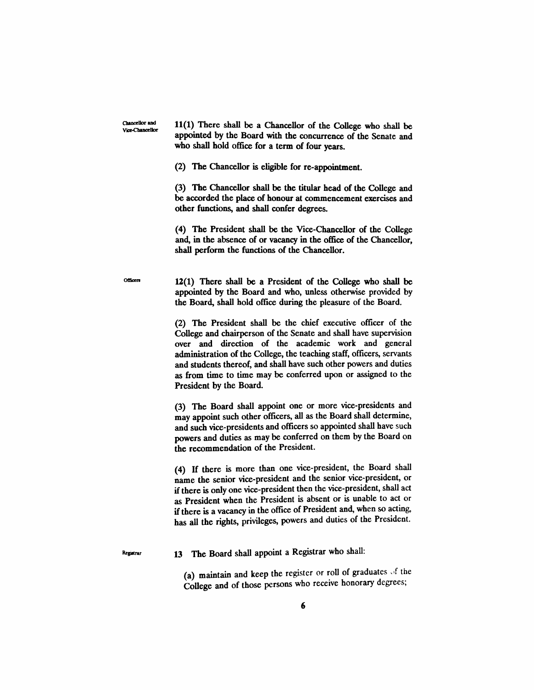Chancellor and<br>Vice-Chancellor

Officers

 $11(1)$  There shall be a Chancellor of the College who shall be appointed by the Board with the concurrence of the Senate and who shall hold office for a term of four years.

(2) The Chancellor is eligible for re-appointment.

(3) The Chancellor shall be the titular head of the College and be accorded the place of honour at commencement exercises and other functions, and shall confer degrees.

(4) The President shall be the Vice-Chancellor of the College and, in the absence of or vacancy in the office of the Chancellor, shall perform the functions of the Chancellor.

 $12(1)$  There shall be a President of the College who shall be appointed by the Board and who, unless otherwise provided by the Board, shall hold office during the pleasure of the Board.

(2) The President shall be the chief executive officer of the College and chairperson of the Senate and shall have supervision over and direction of the academic work and general administration of the College, the teaching staff, officers, servants and students thereof, and shall have such other powers and duties as from time to time may be conferred upon or assigned to the President by the Board.

(3) The Board shall appoint one or more vice-presidents and may appoint such other officers, all as the Board shall determine, and such vice-presidents and officers so appointed shall have such powers and duties as may be conferred on them by the Board on the recommendation of the President.

(4) If there is more than one vice-president, the Board shall name the senior vice-president and the senior vice-president, or if there is only one vice-president then the vice-president, shall act as President when the President is absent or is unable to act or if there is a vacancy in the office of President and, when so acting, has all the rights, privileges, powers and duties of the President.

Repistrar 13 The Board shall appoint a Registrar who shall:

(a) maintain and keep the register or roll of graduates of the College and of those persons who receive honorary degrees;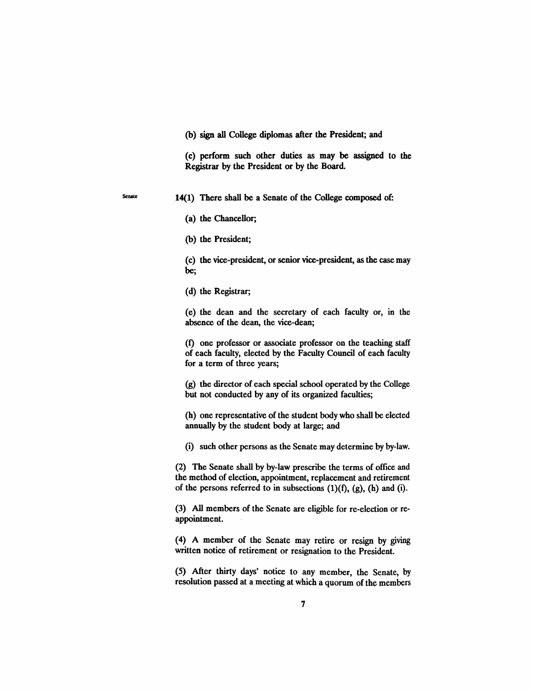(b) sign all College diplomas after the President; and

(c) perform such other duties as may be assigned to the Registrar by the President or by the Board.

Senate

14(1) There shall be a Senate of the College composed of:

(a) the Chancellor;

(b) the President;

(c) the vice-president, or senior vice-president, as the case may be;

(d) the Registrar;

(e) the dean and the secretary of each faculty or, in the absence of the dean, the vice-dean;

(1) one professor or associate professor on the teaching staff of each faculty, elected by the Faculty Council of each facuIty for a term of three years;

(g) the director of each special school operated by the College but not conducted by any of its organized faculties;

(h) one representative of the student body who shall be elected annually by the student body at large; and

(i) such other persons as the Senate may determine by by-law.

(2) The Senate shall by by-law prescribe the terms of office and the method of election, appointment, replacement and retirement of the persons referred to in subsections  $(1)(f)$ ,  $(g)$ ,  $(h)$  and  $(i)$ .

(3) All members of the Senate are eligible for re-election or reappointment.

(4) A member of the Senate may retire or resign by giving written notice of retirement or resignation to the President.

(5) After thirty days' notice to any member, the Senate, by resolution passed at a meeting at which a quorum of the members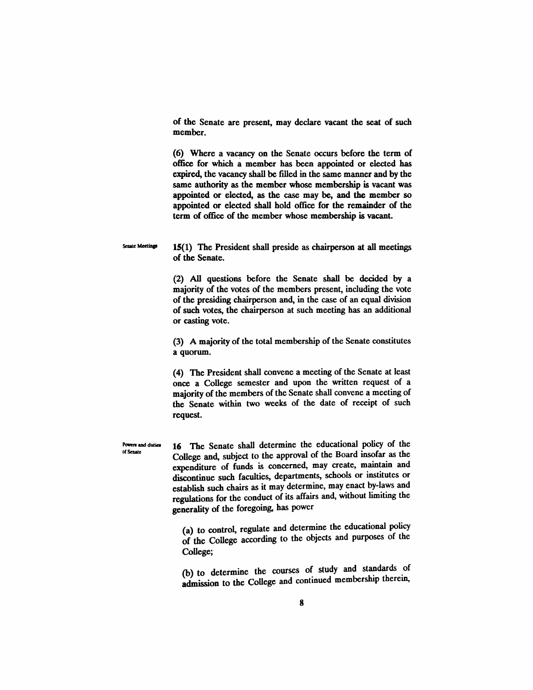of the Senate are present, may declare vacant the seat of such member.

(6) Where a vacancy on the Senate occurs before the term of office for which amember has been appointed or elected has expired, the vacancy shall be filled in the same manner and by the same authority as the member whose membership is vacant was appointed or elected, as the case may be, and the member so appointed or elected shall hold office for the remainder of the term of office of the member whose membership is vacant.

**Senate Meetings**  $15(1)$  The President shall preside as chairperson at all meetings of the Senate.

> (2) All questions before the Senate shall be decided by a majority of the votes of the members present, including the vote of the presiding chairperson and, in the case of an equal division of such votes, the chairperson at such meeting has an additional or casting vote.

> (3) A majority of the total membership of the Senate constitutes a quorum.

> (4) The President shall convene a meeting of the Senate at least once a College semester and upon the written request of a majority of the members of the Senate shall convene a meeting of the Senate within two weeks of the date of receipt of such request.

**16** The Senate shall determine the educational policy of the College and, subject to the approval of the Board insofar as the expenditure of funds is concerned, may create, maintain and discontinue such faculties, departments, schools or institutes or establish such chairs as it may determine, may enact by-laws and regulations for the conduct of its affairs and, without limiting the generality of the foregoing, has power

Powers and duties of Senate

> (a) to control, regulate and determine the educational policy of the College according to the objects and purposes of the College;

> (b) to determine the courses of study and standards of admission to the College and continued membership therem,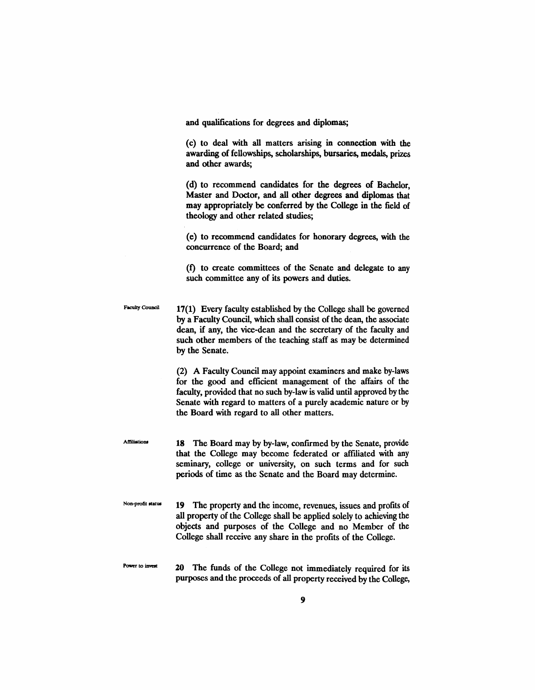and qualifications for degrees and diplomas;

(C) to deal with all matters arising in connection with the awarding of fellowships, scholarships, bursaries, medals, prizes and other awards;

(d) to recommend candidates for the degrees of Bachelor, Master and Doctor, and all other degrees and diplomas that may appropriately be conferred by the College in the field of theology and other related studies;

(e) to recommend candidates for honorary degrees, with the concurrence of the Board; and

(f) to create committees of the Senate and delegate to any such committee any of its powers and duties.

Faculty Council 17(1) Every faculty established by the College shall be governed by a Faculty Council, which shall consist of the dean, the associate dean, if any, the vice-dean and the secretary of the faculty and such other members of the teaching staff as may be determined by the Senate.

> (2) A Faculty Council may appoint examiners and make by-laws for the good and efficient management of the affairs of the faculty, provided that no such by-law is valid until approved by the Senate with regard to matters of a purely academic nature or by the Board with regard to all other matters.

- Affiliations 18 The Board may by by-law, confirmed by the Senate, provide that the College may become federated or affiliated with any seminary, college or university, on such terms and for such periods of time as the Senate and the Board may determine.
- Non-profit status 19 The property and the income, revenues, issues and profits of all property of the College shall be applied solely to achieving the objects and purposes of the College and no Member of the College shall receive any share in the profits of the College.
- Power to invest 20 The funds of the College not immediately required for its purposes and the proceeds of all property received by the College,